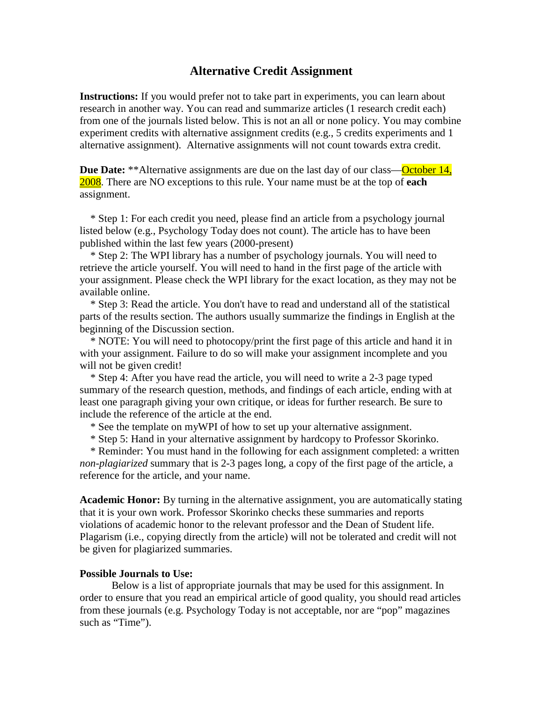## **Alternative Credit Assignment**

**Instructions:** If you would prefer not to take part in experiments, you can learn about research in another way. You can read and summarize articles (1 research credit each) from one of the journals listed below. This is not an all or none policy. You may combine experiment credits with alternative assignment credits (e.g., 5 credits experiments and 1 alternative assignment). Alternative assignments will not count towards extra credit.

**Due Date:** \*\*Alternative assignments are due on the last day of our class—October 14, 2008. There are NO exceptions to this rule. Your name must be at the top of **each** assignment.

 \* Step 1: For each credit you need, please find an article from a psychology journal listed below (e.g., Psychology Today does not count). The article has to have been published within the last few years (2000-present)

 \* Step 2: The WPI library has a number of psychology journals. You will need to retrieve the article yourself. You will need to hand in the first page of the article with your assignment. Please check the WPI library for the exact location, as they may not be available online.

 \* Step 3: Read the article. You don't have to read and understand all of the statistical parts of the results section. The authors usually summarize the findings in English at the beginning of the Discussion section.

 \* NOTE: You will need to photocopy/print the first page of this article and hand it in with your assignment. Failure to do so will make your assignment incomplete and you will not be given credit!

 \* Step 4: After you have read the article, you will need to write a 2-3 page typed summary of the research question, methods, and findings of each article, ending with at least one paragraph giving your own critique, or ideas for further research. Be sure to include the reference of the article at the end.

\* See the template on myWPI of how to set up your alternative assignment.

\* Step 5: Hand in your alternative assignment by hardcopy to Professor Skorinko.

 \* Reminder: You must hand in the following for each assignment completed: a written *non-plagiarized* summary that is 2-3 pages long, a copy of the first page of the article, a reference for the article, and your name.

**Academic Honor:** By turning in the alternative assignment, you are automatically stating that it is your own work. Professor Skorinko checks these summaries and reports violations of academic honor to the relevant professor and the Dean of Student life. Plagarism (i.e., copying directly from the article) will not be tolerated and credit will not be given for plagiarized summaries.

## **Possible Journals to Use:**

Below is a list of appropriate journals that may be used for this assignment. In order to ensure that you read an empirical article of good quality, you should read articles from these journals (e.g. Psychology Today is not acceptable, nor are "pop" magazines such as "Time").